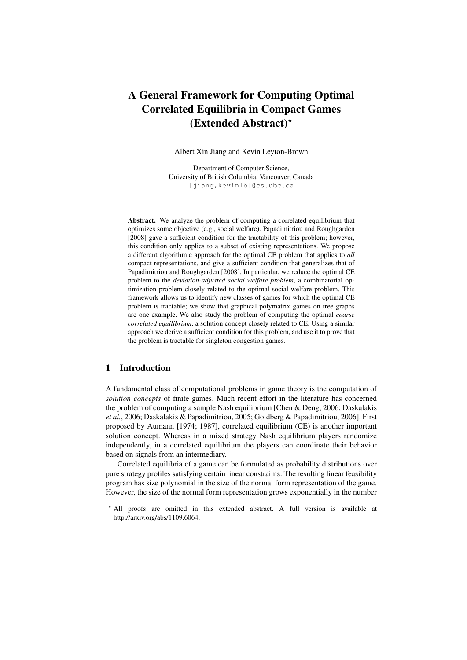# A General Framework for Computing Optimal Correlated Equilibria in Compact Games  $(Extended Abstract)^*$

Albert Xin Jiang and Kevin Leyton-Brown

Department of Computer Science, University of British Columbia, Vancouver, Canada [jiang, kevinlb]@cs.ubc.ca

Abstract. We analyze the problem of computing a correlated equilibrium that optimizes some objective (e.g., social welfare). Papadimitriou and Roughgarden [2008] gave a sufficient condition for the tractability of this problem; however, this condition only applies to a subset of existing representations. We propose a different algorithmic approach for the optimal CE problem that applies to *all* compact representations, and give a sufficient condition that generalizes that of Papadimitriou and Roughgarden [2008]. In particular, we reduce the optimal CE problem to the *deviation-adjusted social welfare problem*, a combinatorial optimization problem closely related to the optimal social welfare problem. This framework allows us to identify new classes of games for which the optimal CE problem is tractable; we show that graphical polymatrix games on tree graphs are one example. We also study the problem of computing the optimal *coarse correlated equilibrium*, a solution concept closely related to CE. Using a similar approach we derive a sufficient condition for this problem, and use it to prove that the problem is tractable for singleton congestion games.

# 1 Introduction

A fundamental class of computational problems in game theory is the computation of *solution concepts* of finite games. Much recent effort in the literature has concerned the problem of computing a sample Nash equilibrium [Chen & Deng, 2006; Daskalakis *et al.*, 2006; Daskalakis & Papadimitriou, 2005; Goldberg & Papadimitriou, 2006]. First proposed by Aumann [1974; 1987], correlated equilibrium (CE) is another important solution concept. Whereas in a mixed strategy Nash equilibrium players randomize independently, in a correlated equilibrium the players can coordinate their behavior based on signals from an intermediary.

Correlated equilibria of a game can be formulated as probability distributions over pure strategy profiles satisfying certain linear constraints. The resulting linear feasibility program has size polynomial in the size of the normal form representation of the game. However, the size of the normal form representation grows exponentially in the number

<sup>?</sup> All proofs are omitted in this extended abstract. A full version is available at http://arxiv.org/abs/1109.6064.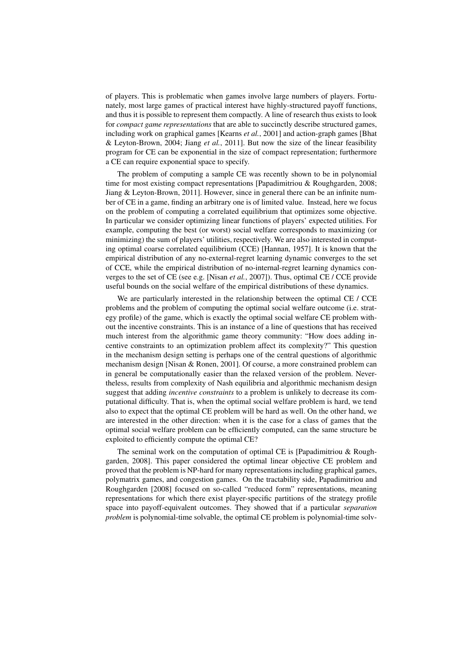of players. This is problematic when games involve large numbers of players. Fortunately, most large games of practical interest have highly-structured payoff functions, and thus it is possible to represent them compactly. A line of research thus exists to look for *compact game representations* that are able to succinctly describe structured games, including work on graphical games [Kearns *et al.*, 2001] and action-graph games [Bhat & Leyton-Brown, 2004; Jiang *et al.*, 2011]. But now the size of the linear feasibility program for CE can be exponential in the size of compact representation; furthermore a CE can require exponential space to specify.

The problem of computing a sample CE was recently shown to be in polynomial time for most existing compact representations [Papadimitriou & Roughgarden, 2008; Jiang & Leyton-Brown, 2011]. However, since in general there can be an infinite number of CE in a game, finding an arbitrary one is of limited value. Instead, here we focus on the problem of computing a correlated equilibrium that optimizes some objective. In particular we consider optimizing linear functions of players' expected utilities. For example, computing the best (or worst) social welfare corresponds to maximizing (or minimizing) the sum of players' utilities, respectively. We are also interested in computing optimal coarse correlated equilibrium (CCE) [Hannan, 1957]. It is known that the empirical distribution of any no-external-regret learning dynamic converges to the set of CCE, while the empirical distribution of no-internal-regret learning dynamics converges to the set of CE (see e.g. [Nisan *et al.*, 2007]). Thus, optimal CE / CCE provide useful bounds on the social welfare of the empirical distributions of these dynamics.

We are particularly interested in the relationship between the optimal CE / CCE problems and the problem of computing the optimal social welfare outcome (i.e. strategy profile) of the game, which is exactly the optimal social welfare CE problem without the incentive constraints. This is an instance of a line of questions that has received much interest from the algorithmic game theory community: "How does adding incentive constraints to an optimization problem affect its complexity?" This question in the mechanism design setting is perhaps one of the central questions of algorithmic mechanism design [Nisan & Ronen, 2001]. Of course, a more constrained problem can in general be computationally easier than the relaxed version of the problem. Nevertheless, results from complexity of Nash equilibria and algorithmic mechanism design suggest that adding *incentive constraints* to a problem is unlikely to decrease its computational difficulty. That is, when the optimal social welfare problem is hard, we tend also to expect that the optimal CE problem will be hard as well. On the other hand, we are interested in the other direction: when it is the case for a class of games that the optimal social welfare problem can be efficiently computed, can the same structure be exploited to efficiently compute the optimal CE?

The seminal work on the computation of optimal CE is [Papadimitriou & Roughgarden, 2008]. This paper considered the optimal linear objective CE problem and proved that the problem is NP-hard for many representations including graphical games, polymatrix games, and congestion games. On the tractability side, Papadimitriou and Roughgarden [2008] focused on so-called "reduced form" representations, meaning representations for which there exist player-specific partitions of the strategy profile space into payoff-equivalent outcomes. They showed that if a particular *separation problem* is polynomial-time solvable, the optimal CE problem is polynomial-time solv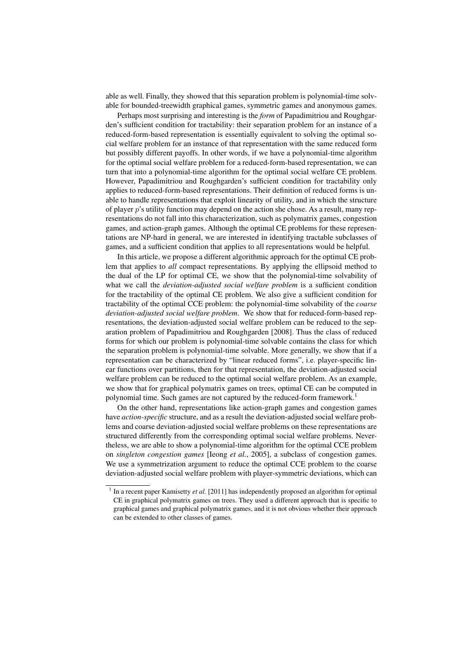able as well. Finally, they showed that this separation problem is polynomial-time solvable for bounded-treewidth graphical games, symmetric games and anonymous games.

Perhaps most surprising and interesting is the *form* of Papadimitriou and Roughgarden's sufficient condition for tractability: their separation problem for an instance of a reduced-form-based representation is essentially equivalent to solving the optimal social welfare problem for an instance of that representation with the same reduced form but possibly different payoffs. In other words, if we have a polynomial-time algorithm for the optimal social welfare problem for a reduced-form-based representation, we can turn that into a polynomial-time algorithm for the optimal social welfare CE problem. However, Papadimitriou and Roughgarden's sufficient condition for tractability only applies to reduced-form-based representations. Their definition of reduced forms is unable to handle representations that exploit linearity of utility, and in which the structure of player  $p$ 's utility function may depend on the action she chose. As a result, many representations do not fall into this characterization, such as polymatrix games, congestion games, and action-graph games. Although the optimal CE problems for these representations are NP-hard in general, we are interested in identifying tractable subclasses of games, and a sufficient condition that applies to all representations would be helpful.

In this article, we propose a different algorithmic approach for the optimal CE problem that applies to *all* compact representations. By applying the ellipsoid method to the dual of the LP for optimal CE, we show that the polynomial-time solvability of what we call the *deviation-adjusted social welfare problem* is a sufficient condition for the tractability of the optimal CE problem. We also give a sufficient condition for tractability of the optimal CCE problem: the polynomial-time solvability of the *coarse deviation-adjusted social welfare problem*. We show that for reduced-form-based representations, the deviation-adjusted social welfare problem can be reduced to the separation problem of Papadimitriou and Roughgarden [2008]. Thus the class of reduced forms for which our problem is polynomial-time solvable contains the class for which the separation problem is polynomial-time solvable. More generally, we show that if a representation can be characterized by "linear reduced forms", i.e. player-specific linear functions over partitions, then for that representation, the deviation-adjusted social welfare problem can be reduced to the optimal social welfare problem. As an example, we show that for graphical polymatrix games on trees, optimal CE can be computed in polynomial time. Such games are not captured by the reduced-form framework.<sup>1</sup>

On the other hand, representations like action-graph games and congestion games have *action-specific* structure, and as a result the deviation-adjusted social welfare problems and coarse deviation-adjusted social welfare problems on these representations are structured differently from the corresponding optimal social welfare problems. Nevertheless, we are able to show a polynomial-time algorithm for the optimal CCE problem on *singleton congestion games* [Ieong *et al.*, 2005], a subclass of congestion games. We use a symmetrization argument to reduce the optimal CCE problem to the coarse deviation-adjusted social welfare problem with player-symmetric deviations, which can

<sup>&</sup>lt;sup>1</sup> In a recent paper Kamisetty *et al.* [2011] has independently proposed an algorithm for optimal CE in graphical polymatrix games on trees. They used a different approach that is specific to graphical games and graphical polymatrix games, and it is not obvious whether their approach can be extended to other classes of games.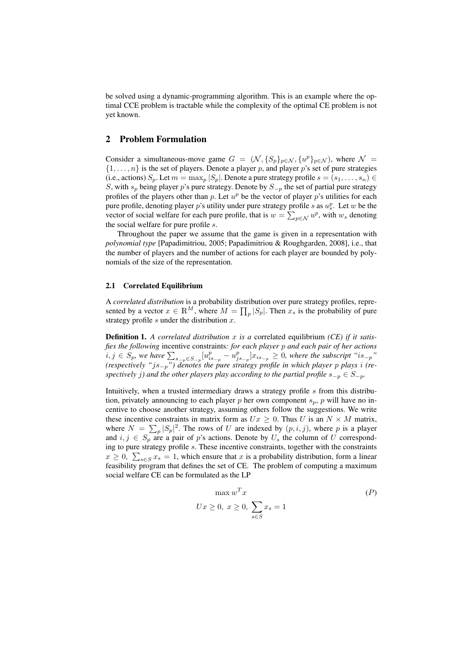be solved using a dynamic-programming algorithm. This is an example where the optimal CCE problem is tractable while the complexity of the optimal CE problem is not yet known.

## 2 Problem Formulation

Consider a simultaneous-move game  $G = (\mathcal{N}, \{S_p\}_{p \in \mathcal{N}}, \{u^p\}_{p \in \mathcal{N}})$ , where  $\mathcal{N} =$  $\{1, \ldots, n\}$  is the set of players. Denote a player p, and player p's set of pure strategies (i.e., actions)  $S_p$ . Let  $m = \max_p |S_p|$ . Denote a pure strategy profile  $s = (s_1, \ldots, s_n) \in$ S, with  $s_p$  being player p's pure strategy. Denote by  $S_{-p}$  the set of partial pure strategy profiles of the players other than p. Let  $u^p$  be the vector of player p's utilities for each pure profile, denoting player p's utility under pure strategy profile s as  $u_s^p$ . Let w be the vector of social welfare for each pure profile, that is  $w = \sum_{p \in \mathcal{N}} u^p$ , with  $w_s$  denoting the social welfare for pure profile s.

Throughout the paper we assume that the game is given in a representation with *polynomial type* [Papadimitriou, 2005; Papadimitriou & Roughgarden, 2008], i.e., that the number of players and the number of actions for each player are bounded by polynomials of the size of the representation.

#### 2.1 Correlated Equilibrium

A *correlated distribution* is a probability distribution over pure strategy profiles, represented by a vector  $x \in \mathbb{R}^M$ , where  $M = \prod_p |S_p|$ . Then  $x_s$  is the probability of pure strategy profile  $s$  under the distribution  $x$ .

**Definition 1.** A correlated distribution x is a correlated equilibrium *(CE)* if it satis*fies the following* incentive constraints*: for each player* p *and each pair of her actions*  $i,j \in S_p$ , we have  $\sum_{s=p \in S-p} [u_{is-p}^p - u_{js-p}^p] x_{is-p} \geq 0$ , where the subscript " $is_{-p}$ " *(respectively "*js<sup>−</sup>p*") denotes the pure strategy profile in which player* p *plays* i *(respectively j*) and the other players play according to the partial profile  $s_{-p} \in S_{-p}$ *.* 

Intuitively, when a trusted intermediary draws a strategy profile  $s$  from this distribution, privately announcing to each player  $p$  her own component  $s_p$ ,  $p$  will have no incentive to choose another strategy, assuming others follow the suggestions. We write these incentive constraints in matrix form as  $Ux \geq 0$ . Thus U is an  $N \times M$  matrix, where  $N = \sum_{p} |S_p|^2$ . The rows of U are indexed by  $(p, i, j)$ , where p is a player and  $i, j \in S_p$  are a pair of p's actions. Denote by  $U_s$  the column of U corresponding to pure strategy profile s. These incentive constraints, together with the constraints  $x \geq 0$ ,  $\sum_{s \in S} x_s = 1$ , which ensure that x is a probability distribution, form a linear feasibility program that defines the set of CE. The problem of computing a maximum social welfare CE can be formulated as the LP

$$
\max w^T x
$$
  
\n
$$
Ux \ge 0, \ x \ge 0, \ \sum_{s \in S} x_s = 1
$$
\n<sup>(P)</sup>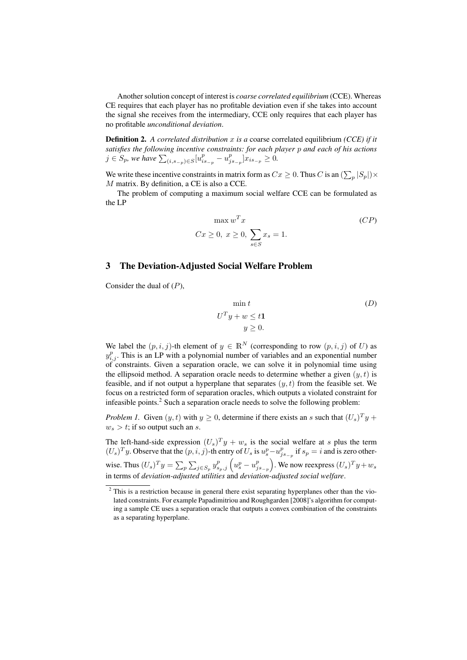Another solution concept of interest is *coarse correlated equilibrium* (CCE). Whereas CE requires that each player has no profitable deviation even if she takes into account the signal she receives from the intermediary, CCE only requires that each player has no profitable *unconditional deviation*.

Definition 2. *A correlated distribution* x *is a* coarse correlated equilibrium *(CCE) if it satisfies the following incentive constraints: for each player* p *and each of his actions*  $j \in S_p$ , we have  $\sum_{(i,s_{-p}) \in S} [u_{is_{-p}}^p - u_{js_{-p}}^p] x_{is_{-p}} \geq 0$ .

We write these incentive constraints in matrix form as  $Cx \geq 0$ . Thus C is an  $(\sum_{p} |S_p|) \times$ M matrix. By definition, a CE is also a CCE.

The problem of computing a maximum social welfare CCE can be formulated as the LP

$$
\max w^T x
$$
  
\n $Cx \ge 0, x \ge 0, \sum_{s \in S} x_s = 1.$  (CP)

### 3 The Deviation-Adjusted Social Welfare Problem

Consider the dual of  $(P)$ ,

$$
\begin{aligned}\n\min t & (D) \\
U^T y + w &\le t \mathbf{1} \\
y &\ge 0.\n\end{aligned}
$$

We label the  $(p, i, j)$ -th element of  $y \in \mathbb{R}^N$  (corresponding to row  $(p, i, j)$  of U) as  $y_{i,j}^p$ . This is an LP with a polynomial number of variables and an exponential number of constraints. Given a separation oracle, we can solve it in polynomial time using the ellipsoid method. A separation oracle needs to determine whether a given  $(y, t)$  is feasible, and if not output a hyperplane that separates  $(y, t)$  from the feasible set. We focus on a restricted form of separation oracles, which outputs a violated constraint for infeasible points.<sup>2</sup> Such a separation oracle needs to solve the following problem:

*Problem 1.* Given  $(y, t)$  with  $y \ge 0$ , determine if there exists an s such that  $(U_s)^T y +$  $w_s > t$ ; if so output such an s.

The left-hand-side expression  $(U_s)^T y + w_s$  is the social welfare at s plus the term  $(U_s)^T y$ . Observe that the  $(p, i, j)$ -th entry of  $U_s$  is  $u_s^p - u_{js-p}^p$  if  $s_p = i$  and is zero otherwise. Thus  $(U_s)^T y = \sum_p \sum_{j \in S_p} y_{s_p,j}^p \left( u_s^p - u_{js_{-p}}^p \right)$ . We now reexpress  $(U_s)^T y + w_s$ in terms of *deviation-adjusted utilities* and *deviation-adjusted social welfare*.

<sup>&</sup>lt;sup>2</sup> This is a restriction because in general there exist separating hyperplanes other than the violated constraints. For example Papadimitriou and Roughgarden [2008]'s algorithm for computing a sample CE uses a separation oracle that outputs a convex combination of the constraints as a separating hyperplane.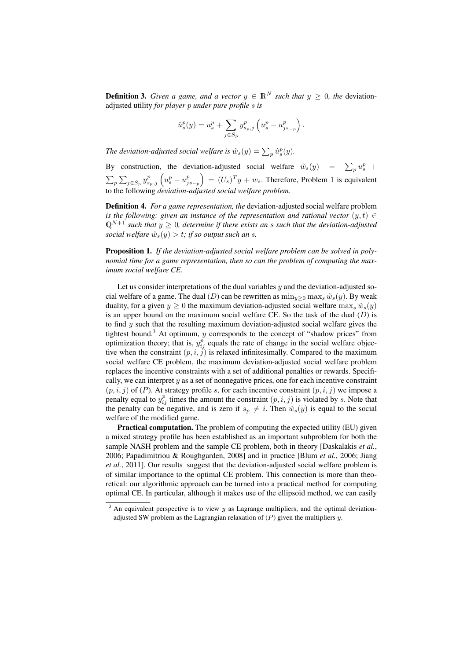**Definition 3.** *Given a game, and a vector*  $y \in \mathbb{R}^N$  *such that*  $y \ge 0$ *, the deviation*adjusted utility *for player* p *under pure profile* s *is*

$$
\hat{u}_s^p(y) = u_s^p + \sum_{j \in S_p} y_{s_p,j}^p \left( u_s^p - u_{js_{-p}}^p \right).
$$

The deviation-adjusted social welfare is  $\hat{w}_s(y) = \sum_p \hat{u}_s^p(y)$ .

By construction, the deviation-adjusted social welfare  $\hat{w}_s(y) = \sum_p w_s^p +$  $\sum_{p} \sum_{j \in S_p} y_{s_p,j}^p \left( u_s^p - u_{js-p}^p \right) = (U_s)^T y + w_s$ . Therefore, Problem 1 is equivalent to the following *deviation-adjusted social welfare problem*.

Definition 4. *For a game representation, the* deviation-adjusted social welfare problem *is the following: given an instance of the representation and rational vector*  $(y, t) \in$  $\mathbb{Q}^{N+1}$  *such that*  $y \geq 0$ *, determine if there exists an s such that the deviation-adjusted social welfare*  $\hat{w}_s(y) > t$ *; if so output such an s.* 

Proposition 1. *If the deviation-adjusted social welfare problem can be solved in polynomial time for a game representation, then so can the problem of computing the maximum social welfare CE.*

Let us consider interpretations of the dual variables  $y$  and the deviation-adjusted social welfare of a game. The dual (D) can be rewritten as  $\min_{u>0} \max_s \tilde{w}_s(y)$ . By weak duality, for a given  $y > 0$  the maximum deviation-adjusted social welfare max.  $\tilde{w}_s(y)$ is an upper bound on the maximum social welfare CE. So the task of the dual  $(D)$  is to find  $y$  such that the resulting maximum deviation-adjusted social welfare gives the tightest bound.<sup>3</sup> At optimum,  $y$  corresponds to the concept of "shadow prices" from optimization theory; that is,  $y_{ij}^p$  equals the rate of change in the social welfare objective when the constraint  $(p, i, j)$  is relaxed infinitesimally. Compared to the maximum social welfare CE problem, the maximum deviation-adjusted social welfare problem replaces the incentive constraints with a set of additional penalties or rewards. Specifically, we can interpret  $y$  as a set of nonnegative prices, one for each incentive constraint  $(p, i, j)$  of  $(P)$ . At strategy profile s, for each incentive constraint  $(p, i, j)$  we impose a penalty equal to  $y_{ij}^p$  times the amount the constraint  $(p, i, j)$  is violated by s. Note that the penalty can be negative, and is zero if  $s_p \neq i$ . Then  $\tilde{w}_s(y)$  is equal to the social welfare of the modified game.

Practical computation. The problem of computing the expected utility (EU) given a mixed strategy profile has been established as an important subproblem for both the sample NASH problem and the sample CE problem, both in theory [Daskalakis *et al.*, 2006; Papadimitriou & Roughgarden, 2008] and in practice [Blum *et al.*, 2006; Jiang *et al.*, 2011]. Our results suggest that the deviation-adjusted social welfare problem is of similar importance to the optimal CE problem. This connection is more than theoretical: our algorithmic approach can be turned into a practical method for computing optimal CE. In particular, although it makes use of the ellipsoid method, we can easily

An equivalent perspective is to view  $y$  as Lagrange multipliers, and the optimal deviationadjusted SW problem as the Lagrangian relaxation of  $(P)$  given the multipliers y.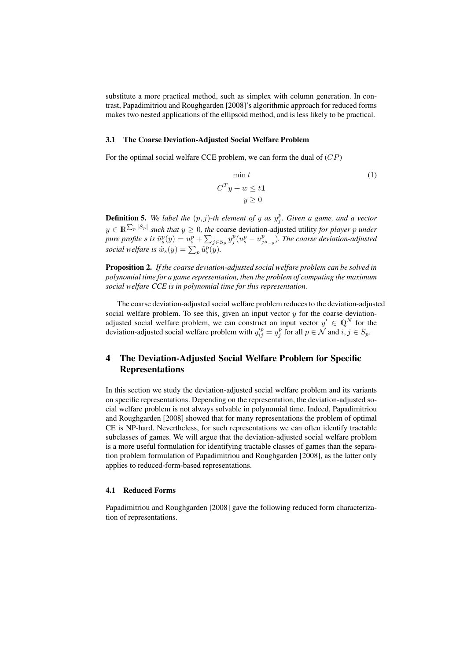substitute a more practical method, such as simplex with column generation. In contrast, Papadimitriou and Roughgarden [2008]'s algorithmic approach for reduced forms makes two nested applications of the ellipsoid method, and is less likely to be practical.

### 3.1 The Coarse Deviation-Adjusted Social Welfare Problem

For the optimal social welfare CCE problem, we can form the dual of  $(CP)$ 

$$
\begin{aligned}\n\min t & (1) \\
C^T y + w &\leq t \mathbf{1} \\
y &\geq 0\n\end{aligned}
$$

**Definition 5.** We label the  $(p, j)$ -th element of y as  $y_j^p$ . Given a game, and a vector  $y \in \mathbb{R}^{\sum_{p} |S_p|}$  such that  $y \geq 0$ , the coarse deviation-adjusted utility *for player* p under pure profile s is  $\tilde{u}_s^p(y) = u_s^p + \sum_{j \in S_p} y_j^p(u_s^p - u_{js_{-p}}^p)$ . The coarse deviation-adjusted social welfare is  $\tilde{w}_s(y) = \sum_p \tilde{u}_s^p(y).$ 

Proposition 2. *If the coarse deviation-adjusted social welfare problem can be solved in polynomial time for a game representation, then the problem of computing the maximum social welfare CCE is in polynomial time for this representation.*

The coarse deviation-adjusted social welfare problem reduces to the deviation-adjusted social welfare problem. To see this, given an input vector  $y$  for the coarse deviationadjusted social welfare problem, we can construct an input vector  $y' \in \mathbb{Q}^N$  for the deviation-adjusted social welfare problem with  $y_{ij}^{'p} = y_j^p$  for all  $p \in \mathcal{N}$  and  $i, j \in S_p$ .

# 4 The Deviation-Adjusted Social Welfare Problem for Specific Representations

In this section we study the deviation-adjusted social welfare problem and its variants on specific representations. Depending on the representation, the deviation-adjusted social welfare problem is not always solvable in polynomial time. Indeed, Papadimitriou and Roughgarden [2008] showed that for many representations the problem of optimal CE is NP-hard. Nevertheless, for such representations we can often identify tractable subclasses of games. We will argue that the deviation-adjusted social welfare problem is a more useful formulation for identifying tractable classes of games than the separation problem formulation of Papadimitriou and Roughgarden [2008], as the latter only applies to reduced-form-based representations.

## 4.1 Reduced Forms

Papadimitriou and Roughgarden [2008] gave the following reduced form characterization of representations.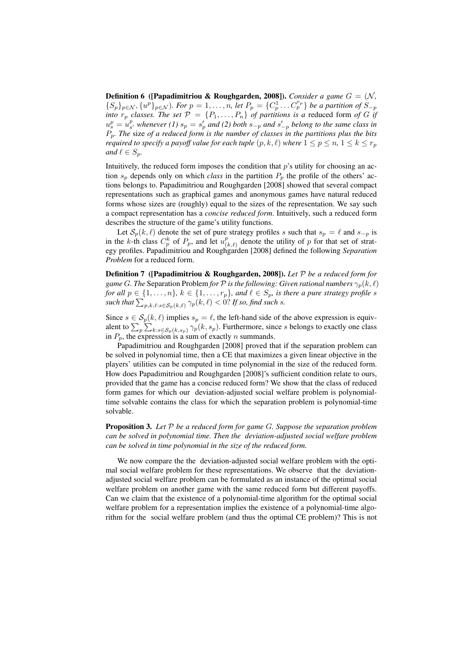**Definition 6 ([Papadimitriou & Roughgarden, 2008]).** *Consider a game*  $G = (N,$  $\{S_p\}_{p\in\mathcal{N}}, \{u^p\}_{p\in\mathcal{N}}$ ). For  $p=1,\ldots,n$ , let  $P_p=\{C_p^1\ldots C_p^{r_p}\}$  be a partition of  $S_{-p}$ *into*  $r_p$  *classes. The set*  $P = \{P_1, \ldots, P_n\}$  *of partitions is a* reduced form *of* G *if*  $u_s^p = u_{s'}^p$  whenever (1)  $s_p = s_p'$  and (2) both  $s_{-p}$  and  $s_{-p}'$  belong to the same class in  $P_p$ . The size of a reduced form is the number of classes in the partitions plus the bits *required to specify a payoff value for each tuple*  $(p, k, \ell)$  *where*  $1 \le p \le n$ ,  $1 \le k \le r_p$ *and*  $\ell \in S_n$ *.* 

Intuitively, the reduced form imposes the condition that  $p$ 's utility for choosing an action  $s_p$  depends only on which *class* in the partition  $P_p$  the profile of the others' actions belongs to. Papadimitriou and Roughgarden [2008] showed that several compact representations such as graphical games and anonymous games have natural reduced forms whose sizes are (roughly) equal to the sizes of the representation. We say such a compact representation has a *concise reduced form*. Intuitively, such a reduced form describes the structure of the game's utility functions.

Let  $S_p(k, \ell)$  denote the set of pure strategy profiles s such that  $s_p = \ell$  and  $s_{-p}$  is in the k-th class  $C_p^k$  of  $P_p$ , and let  $u_l^p$  $_{(k,\ell)}^p$  denote the utility of p for that set of strategy profiles. Papadimitriou and Roughgarden [2008] defined the following *Separation Problem* for a reduced form.

Definition 7 ([Papadimitriou & Roughgarden, 2008]). *Let* P *be a reduced form for game* G. The Separation Problem *for*  $P$  *is the following: Given rational numbers*  $\gamma_p(k, \ell)$ *for all*  $p \in \{1, \ldots, n\}$ ,  $k \in \{1, \ldots, r_p\}$ , and  $\ell \in S_p$ , is there a pure strategy profile s  $\textit{such that} \sum_{p,k,\ell: s \in \mathcal{S}_p(k,\ell)} \gamma_p(k,\ell) < 0?$  *If so, find such s.* 

Since  $s \in S_p(k, \ell)$  implies  $s_p = \ell$ , the left-hand side of the above expression is equivalent to  $\sum_{p} \sum_{k:s \in \mathcal{S}_p(k,s_p)} \gamma_p(k,s_p)$ . Furthermore, since s belongs to exactly one class in  $P_p$ , the expression is a sum of exactly n summands.

Papadimitriou and Roughgarden [2008] proved that if the separation problem can be solved in polynomial time, then a CE that maximizes a given linear objective in the players' utilities can be computed in time polynomial in the size of the reduced form. How does Papadimitriou and Roughgarden [2008]'s sufficient condition relate to ours, provided that the game has a concise reduced form? We show that the class of reduced form games for which our deviation-adjusted social welfare problem is polynomialtime solvable contains the class for which the separation problem is polynomial-time solvable.

Proposition 3. *Let* P *be a reduced form for game* G*. Suppose the separation problem can be solved in polynomial time. Then the deviation-adjusted social welfare problem can be solved in time polynomial in the size of the reduced form.*

We now compare the the deviation-adjusted social welfare problem with the optimal social welfare problem for these representations. We observe that the deviationadjusted social welfare problem can be formulated as an instance of the optimal social welfare problem on another game with the same reduced form but different payoffs. Can we claim that the existence of a polynomial-time algorithm for the optimal social welfare problem for a representation implies the existence of a polynomial-time algorithm for the social welfare problem (and thus the optimal CE problem)? This is not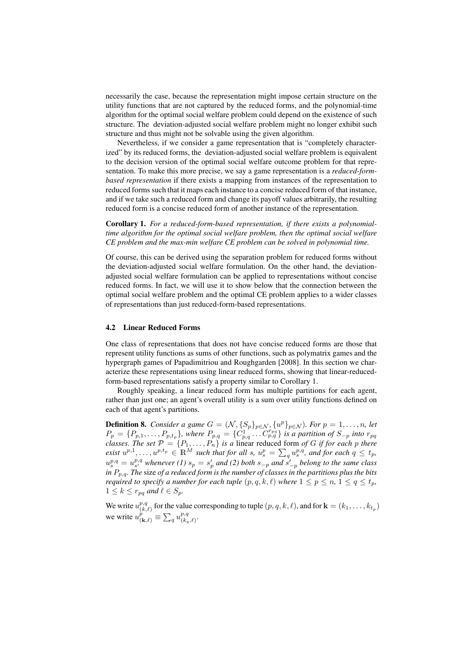necessarily the case, because the representation might impose certain structure on the utility functions that are not captured by the reduced forms, and the polynomial-time algorithm for the optimal social welfare problem could depend on the existence of such structure. The deviation-adjusted social welfare problem might no longer exhibit such structure and thus might not be solvable using the given algorithm.

Nevertheless, if we consider a game representation that is "completely characterized" by its reduced forms, the deviation-adjusted social welfare problem is equivalent to the decision version of the optimal social welfare outcome problem for that representation. To make this more precise, we say a game representation is a *reduced-formbased representation* if there exists a mapping from instances of the representation to reduced forms such that it maps each instance to a concise reduced form of that instance, and if we take such a reduced form and change its payoff values arbitrarily, the resulting reduced form is a concise reduced form of another instance of the representation.

Corollary 1. *For a reduced-form-based representation, if there exists a polynomialtime algorithm for the optimal social welfare problem, then the optimal social welfare CE problem and the max-min welfare CE problem can be solved in polynomial time.*

Of course, this can be derived using the separation problem for reduced forms without the deviation-adjusted social welfare formulation. On the other hand, the deviationadjusted social welfare formulation can be applied to representations without concise reduced forms. In fact, we will use it to show below that the connection between the optimal social welfare problem and the optimal CE problem applies to a wider classes of representations than just reduced-form-based representations.

### 4.2 Linear Reduced Forms

One class of representations that does not have concise reduced forms are those that represent utility functions as sums of other functions, such as polymatrix games and the hypergraph games of Papadimitriou and Roughgarden [2008]. In this section we characterize these representations using linear reduced forms, showing that linear-reducedform-based representations satisfy a property similar to Corollary 1.

Roughly speaking, a linear reduced form has multiple partitions for each agent, rather than just one; an agent's overall utility is a sum over utility functions defined on each of that agent's partitions.

**Definition 8.** *Consider a game*  $G = (\mathcal{N}, \{S_p\}_{p \in \mathcal{N}}, \{u^p\}_{p \in \mathcal{N}})$ *. For*  $p = 1, \ldots, n$ *, let*  $P_p = \{P_{p,1}, \ldots, P_{p,t_p}\}\$ , where  $P_{p,q} = \{C_{p,q}^{1}, \ldots, C_{p,q}^{r_{pq}}\}\$  is a partition of  $S_{-p}$  into  $r_{pq}$ *classes. The set*  $\mathcal{P} = \{P_1, \ldots, P_n\}$  *is a linear reduced form of G if for each p there exist*  $u^{p,1}, \ldots, u^{p,t_p} \in \mathbb{R}^M$  *such that for all s,*  $u_s^p = \sum_q u_s^{p,q}$ *, and for each*  $q \leq t_p$ *,*  $u_s^{p,q} = u_{s'}^{p,q}$  whenever (1)  $s_p = s'_p$  and (2) both  $s_{-p}$  and  $s'_{-p}$  belong to the same class *in* Pp,q*. The* size *of a reduced form is the number of classes in the partitions plus the bits required to specify a number for each tuple*  $(p, q, k, \ell)$  *where*  $1 \leq p \leq n, 1 \leq q \leq t_p$ *,*  $1 \leq k \leq r_{pq}$  and  $\ell \in S_p$ .

We write  $u^{p,q}_{(k)}$  $\mathcal{F}_{(k,\ell)}^{p,q}$  for the value corresponding to tuple  $(p,q,k,\ell)$ , and for  $\mathbf{k} = (k_1,\ldots,k_{t_p})$ we write  $u^{\hat{p}}_{(\mathbf{k},\ell)} \equiv \sum_{q} u^{p,q}_{(k,q)}$  $\frac{p,q}{(k_q,\ell)}.$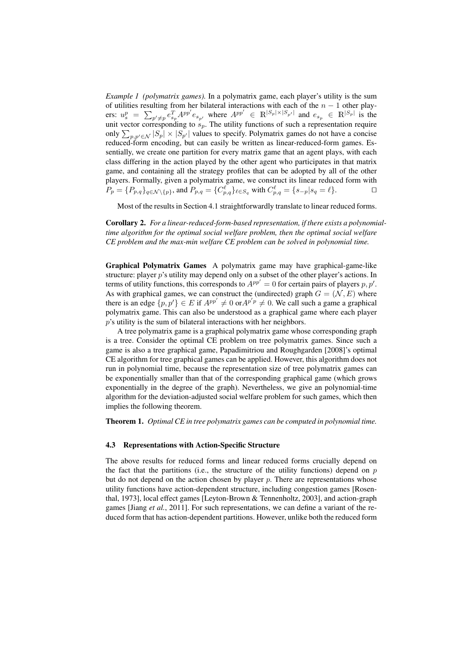*Example 1 (polymatrix games).* In a polymatrix game, each player's utility is the sum of utilities resulting from her bilateral interactions with each of the  $n - 1$  other players:  $u_s^p = \sum_{p' \neq p} e_{s_p}^T A^{pp'} e_{s_{p'}}$  where  $A^{pp'} \in \mathbb{R}^{|S_p| \times |S_{p'}|}$  and  $e_{s_p} \in \mathbb{R}^{|S_p|}$  is the unit vector corresponding to  $s_p$ . The utility functions of such a representation require only  $\sum_{p,p'\in\mathcal{N}} |S_p| \times |S_{p'}|$  values to specify. Polymatrix games do not have a concise reduced-form encoding, but can easily be written as linear-reduced-form games. Essentially, we create one partition for every matrix game that an agent plays, with each class differing in the action played by the other agent who participates in that matrix game, and containing all the strategy profiles that can be adopted by all of the other players. Formally, given a polymatrix game, we construct its linear reduced form with  $P_p = \{P_{p,q}\}_{q \in \mathcal{N} \setminus \{p\}}$ , and  $P_{p,q} = \{C_{p,q}^{\ell}\}_{\ell \in S_q}$  with  $C_{p,q}^{\ell} = \{s_{-p}|s_q = \ell\}$ .

Most of the results in Section 4.1 straightforwardly translate to linear reduced forms.

Corollary 2. *For a linear-reduced-form-based representation, if there exists a polynomialtime algorithm for the optimal social welfare problem, then the optimal social welfare CE problem and the max-min welfare CE problem can be solved in polynomial time.*

Graphical Polymatrix Games A polymatrix game may have graphical-game-like structure: player p's utility may depend only on a subset of the other player's actions. In terms of utility functions, this corresponds to  $A^{pp'} = 0$  for certain pairs of players p, p'. As with graphical games, we can construct the (undirected) graph  $G = (\mathcal{N}, E)$  where there is an edge  $\{p, p'\} \in E$  if  $A^{pp'} \neq 0$  or  $A^{p'p} \neq 0$ . We call such a game a graphical polymatrix game. This can also be understood as a graphical game where each player  $p$ 's utility is the sum of bilateral interactions with her neighbors.

A tree polymatrix game is a graphical polymatrix game whose corresponding graph is a tree. Consider the optimal CE problem on tree polymatrix games. Since such a game is also a tree graphical game, Papadimitriou and Roughgarden [2008]'s optimal CE algorithm for tree graphical games can be applied. However, this algorithm does not run in polynomial time, because the representation size of tree polymatrix games can be exponentially smaller than that of the corresponding graphical game (which grows exponentially in the degree of the graph). Nevertheless, we give an polynomial-time algorithm for the deviation-adjusted social welfare problem for such games, which then implies the following theorem.

Theorem 1. *Optimal CE in tree polymatrix games can be computed in polynomial time.*

### 4.3 Representations with Action-Specific Structure

The above results for reduced forms and linear reduced forms crucially depend on the fact that the partitions (i.e., the structure of the utility functions) depend on  $p$ but do not depend on the action chosen by player  $p$ . There are representations whose utility functions have action-dependent structure, including congestion games [Rosenthal, 1973], local effect games [Leyton-Brown & Tennenholtz, 2003], and action-graph games [Jiang *et al.*, 2011]. For such representations, we can define a variant of the reduced form that has action-dependent partitions. However, unlike both the reduced form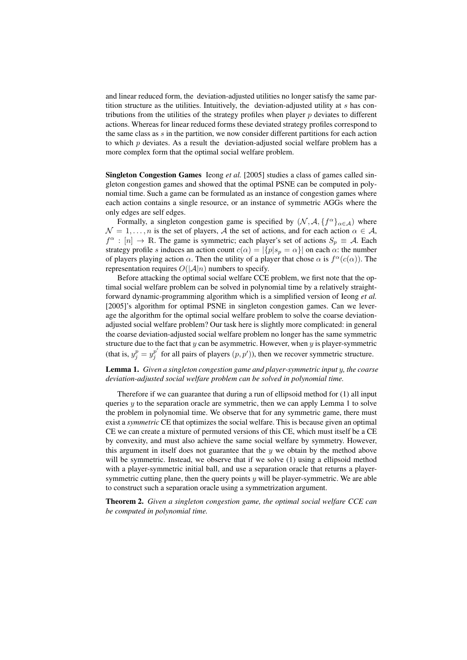and linear reduced form, the deviation-adjusted utilities no longer satisfy the same partition structure as the utilities. Intuitively, the deviation-adjusted utility at  $s$  has contributions from the utilities of the strategy profiles when player  $p$  deviates to different actions. Whereas for linear reduced forms these deviated strategy profiles correspond to the same class as s in the partition, we now consider different partitions for each action to which  $p$  deviates. As a result the deviation-adjusted social welfare problem has a more complex form that the optimal social welfare problem.

Singleton Congestion Games Ieong *et al.* [2005] studies a class of games called singleton congestion games and showed that the optimal PSNE can be computed in polynomial time. Such a game can be formulated as an instance of congestion games where each action contains a single resource, or an instance of symmetric AGGs where the only edges are self edges.

Formally, a singleton congestion game is specified by  $(\mathcal{N}, \mathcal{A}, \{f^{\alpha}\}_{\alpha \in \mathcal{A}})$  where  $\mathcal{N} = 1, \ldots, n$  is the set of players, A the set of actions, and for each action  $\alpha \in \mathcal{A}$ ,  $f^{\alpha} : [n] \rightarrow \mathbb{R}$ . The game is symmetric; each player's set of actions  $S_p \equiv \mathcal{A}$ . Each strategy profile s induces an action count  $c(\alpha) = |\{p|s_p = \alpha\}|$  on each  $\alpha$ : the number of players playing action  $\alpha$ . Then the utility of a player that chose  $\alpha$  is  $f^{\alpha}(c(\alpha))$ . The representation requires  $O(|A|n)$  numbers to specify.

Before attacking the optimal social welfare CCE problem, we first note that the optimal social welfare problem can be solved in polynomial time by a relatively straightforward dynamic-programming algorithm which is a simplified version of Ieong *et al.* [2005]'s algorithm for optimal PSNE in singleton congestion games. Can we leverage the algorithm for the optimal social welfare problem to solve the coarse deviationadjusted social welfare problem? Our task here is slightly more complicated: in general the coarse deviation-adjusted social welfare problem no longer has the same symmetric structure due to the fact that  $y$  can be asymmetric. However, when  $y$  is player-symmetric (that is,  $y_j^p = y_j^{p'}$  $j^{p'}_j$  for all pairs of players  $(p, p')$ ), then we recover symmetric structure.

# Lemma 1. *Given a singleton congestion game and player-symmetric input* y*, the coarse deviation-adjusted social welfare problem can be solved in polynomial time.*

Therefore if we can guarantee that during a run of ellipsoid method for (1) all input queries y to the separation oracle are symmetric, then we can apply Lemma 1 to solve the problem in polynomial time. We observe that for any symmetric game, there must exist a *symmetric* CE that optimizes the social welfare. This is because given an optimal CE we can create a mixture of permuted versions of this CE, which must itself be a CE by convexity, and must also achieve the same social welfare by symmetry. However, this argument in itself does not guarantee that the  $y$  we obtain by the method above will be symmetric. Instead, we observe that if we solve (1) using a ellipsoid method with a player-symmetric initial ball, and use a separation oracle that returns a playersymmetric cutting plane, then the query points  $y$  will be player-symmetric. We are able to construct such a separation oracle using a symmetrization argument.

Theorem 2. *Given a singleton congestion game, the optimal social welfare CCE can be computed in polynomial time.*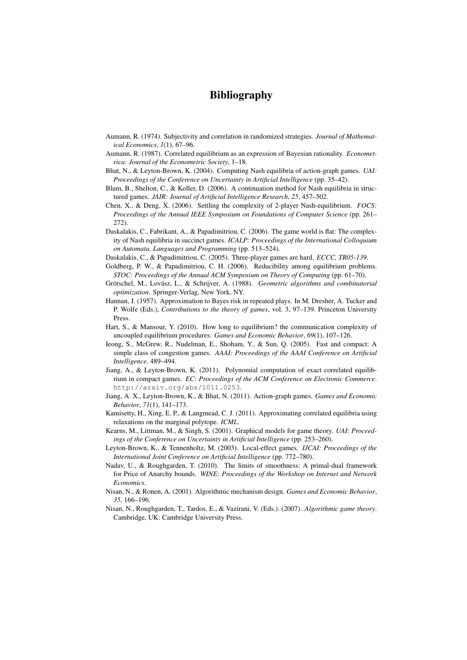# Bibliography

- Aumann, R. (1974). Subjectivity and correlation in randomized strategies. *Journal of Mathematical Economics*, *1*(1), 67–96.
- Aumann, R. (1987). Correlated equilibrium as an expression of Bayesian rationality. *Econometrica: Journal of the Econometric Society*, 1–18.
- Bhat, N., & Leyton-Brown, K. (2004). Computing Nash equilibria of action-graph games. *UAI: Proceedings of the Conference on Uncertainty in Artificial Intelligence* (pp. 35–42).
- Blum, B., Shelton, C., & Koller, D. (2006). A continuation method for Nash equilibria in structured games. *JAIR: Journal of Artificial Intelligence Research*, *25*, 457–502.
- Chen, X., & Deng, X. (2006). Settling the complexity of 2-player Nash-equilibrium. *FOCS: Proceedings of the Annual IEEE Symposium on Foundations of Computer Science* (pp. 261– 272).
- Daskalakis, C., Fabrikant, A., & Papadimitriou, C. (2006). The game world is flat: The complexity of Nash equilibria in succinct games. *ICALP: Proceedings of the International Colloquium on Automata, Languages and Programming* (pp. 513–524).
- Daskalakis, C., & Papadimitriou, C. (2005). Three-player games are hard. *ECCC, TR05-139*.
- Goldberg, P. W., & Papadimitriou, C. H. (2006). Reducibility among equilibrium problems. *STOC: Proceedings of the Annual ACM Symposium on Theory of Computing* (pp. 61–70).
- Grötschel, M., Lovász, L., & Schrijver, A. (1988). *Geometric algorithms and combinatorial optimization*. Springer-Verlag, New York, NY.
- Hannan, J. (1957). Approximation to Bayes risk in repeated plays. In M. Dresher, A. Tucker and P. Wolfe (Eds.), *Contributions to the theory of games*, vol. 3, 97–139. Princeton University Press.
- Hart, S., & Mansour, Y. (2010). How long to equilibrium? the communication complexity of uncoupled equilibrium procedures. *Games and Economic Behavior*, *69*(1), 107–126.
- Ieong, S., McGrew, R., Nudelman, E., Shoham, Y., & Sun, Q. (2005). Fast and compact: A simple class of congestion games. *AAAI: Proceedings of the AAAI Conference on Artificial Intelligence*, 489–494.
- Jiang, A., & Leyton-Brown, K. (2011). Polynomial computation of exact correlated equilibrium in compact games. *EC: Proceedings of the ACM Conference on Electronic Commerce*. http://arxiv.org/abs/1011.0253.
- Jiang, A. X., Leyton-Brown, K., & Bhat, N. (2011). Action-graph games. *Games and Economic Behavior*, *71*(1), 141–173.
- Kamisetty, H., Xing, E. P., & Langmead, C. J. (2011). Approximating correlated equilibria using relaxations on the marginal polytope. *ICML*.
- Kearns, M., Littman, M., & Singh, S. (2001). Graphical models for game theory. *UAI: Proceedings of the Conference on Uncertainty in Artificial Intelligence* (pp. 253–260).
- Leyton-Brown, K., & Tennenholtz, M. (2003). Local-effect games. *IJCAI: Proceedings of the International Joint Conference on Artificial Intelligence* (pp. 772–780).
- Nadav, U., & Roughgarden, T. (2010). The limits of smoothness: A primal-dual framework for Price of Anarchy bounds. *WINE: Proceedings of the Workshop on Internet and Network Economics*.
- Nisan, N., & Ronen, A. (2001). Algorithmic mechanism design. *Games and Economic Behavior*, *35*, 166–196.
- Nisan, N., Roughgarden, T., Tardos, E., & Vazirani, V. (Eds.). (2007). *Algorithmic game theory*. Cambridge, UK: Cambridge University Press.